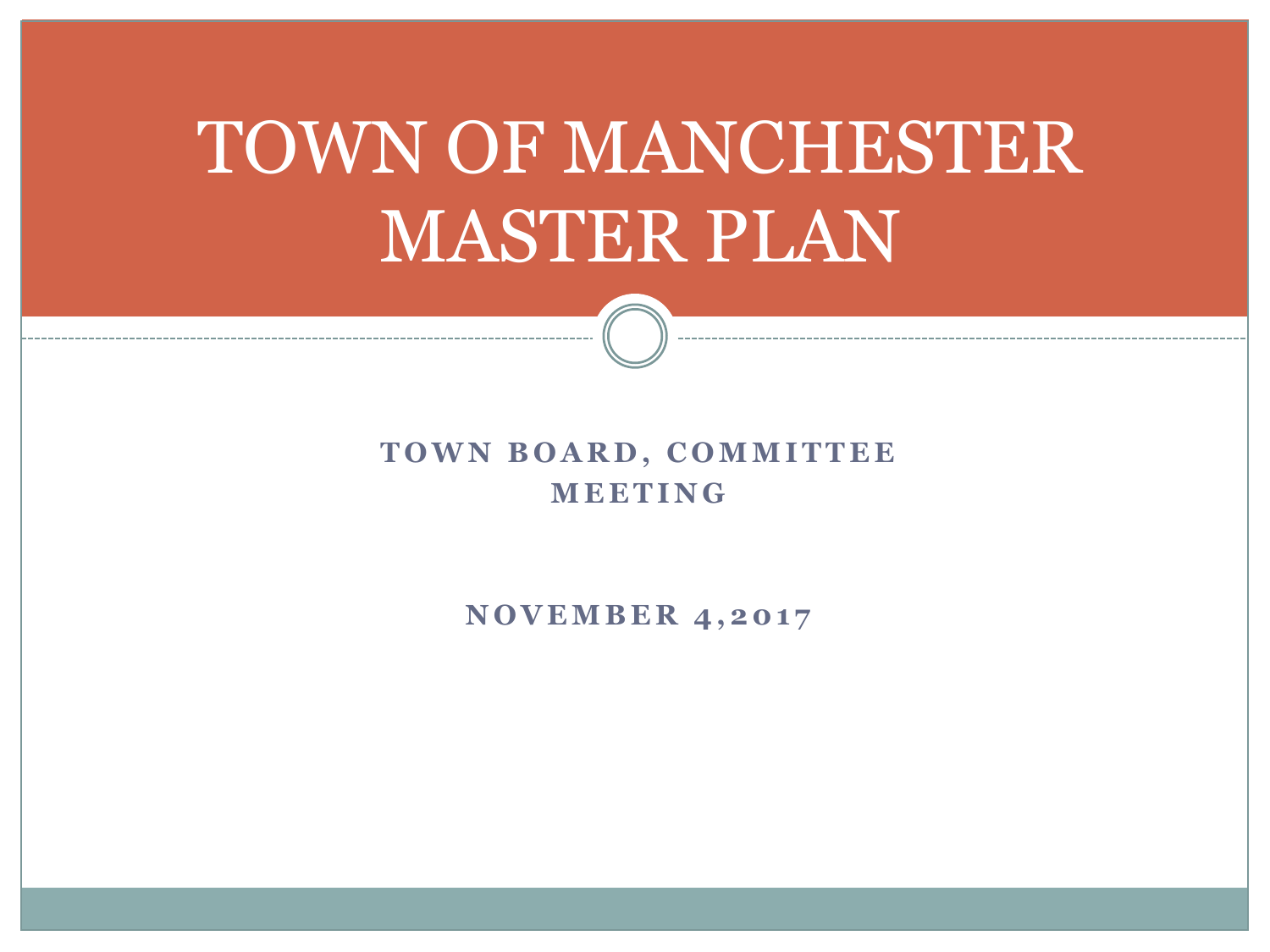# TOWN OF MANCHESTER MASTER PLAN

#### **TOWN BOARD, COMMITTEE M E E T I N G**

**NOVEMBER 4,2017**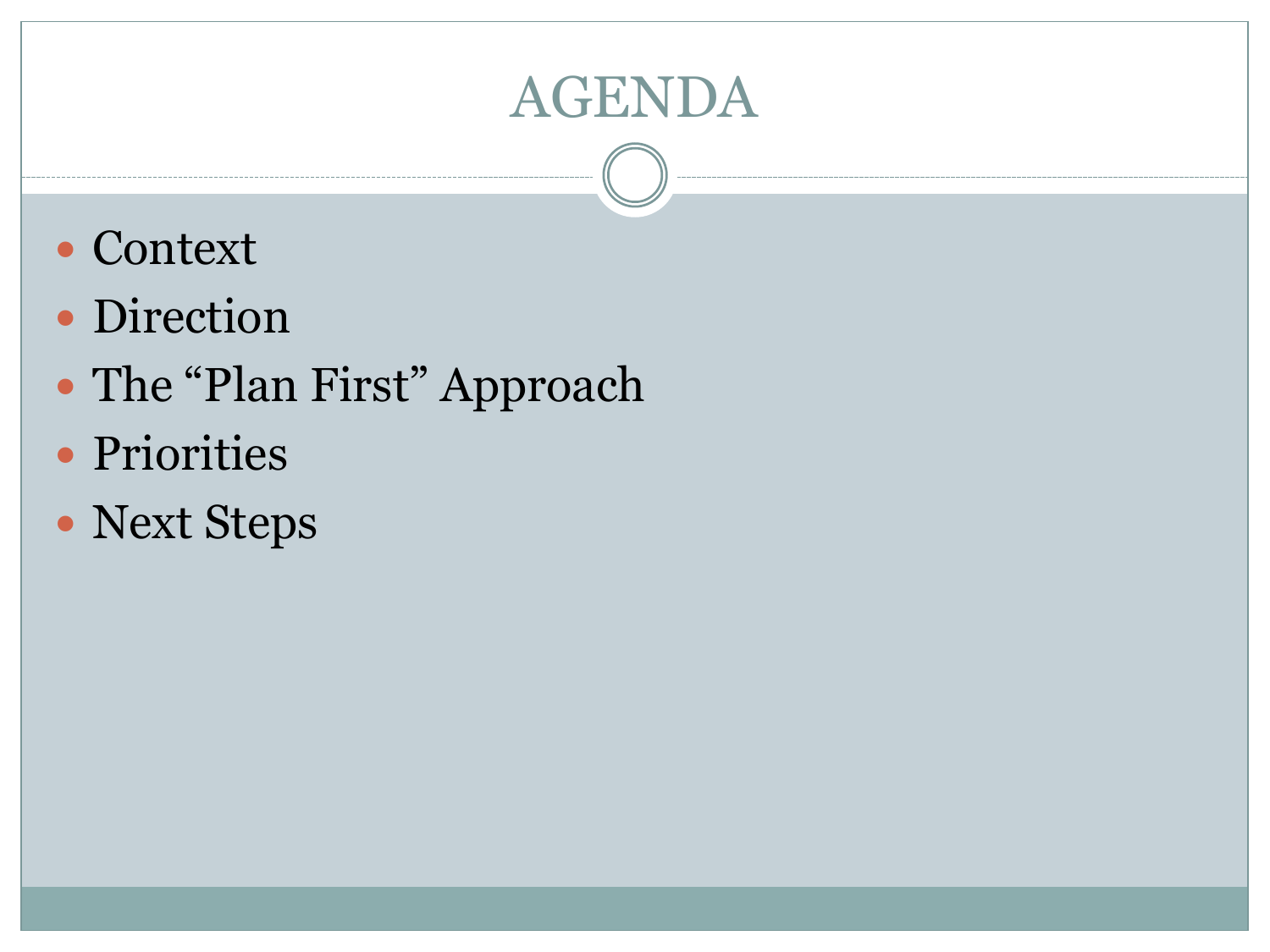### AGENDA

- Context
- Direction
- The "Plan First" Approach
- Priorities
- Next Steps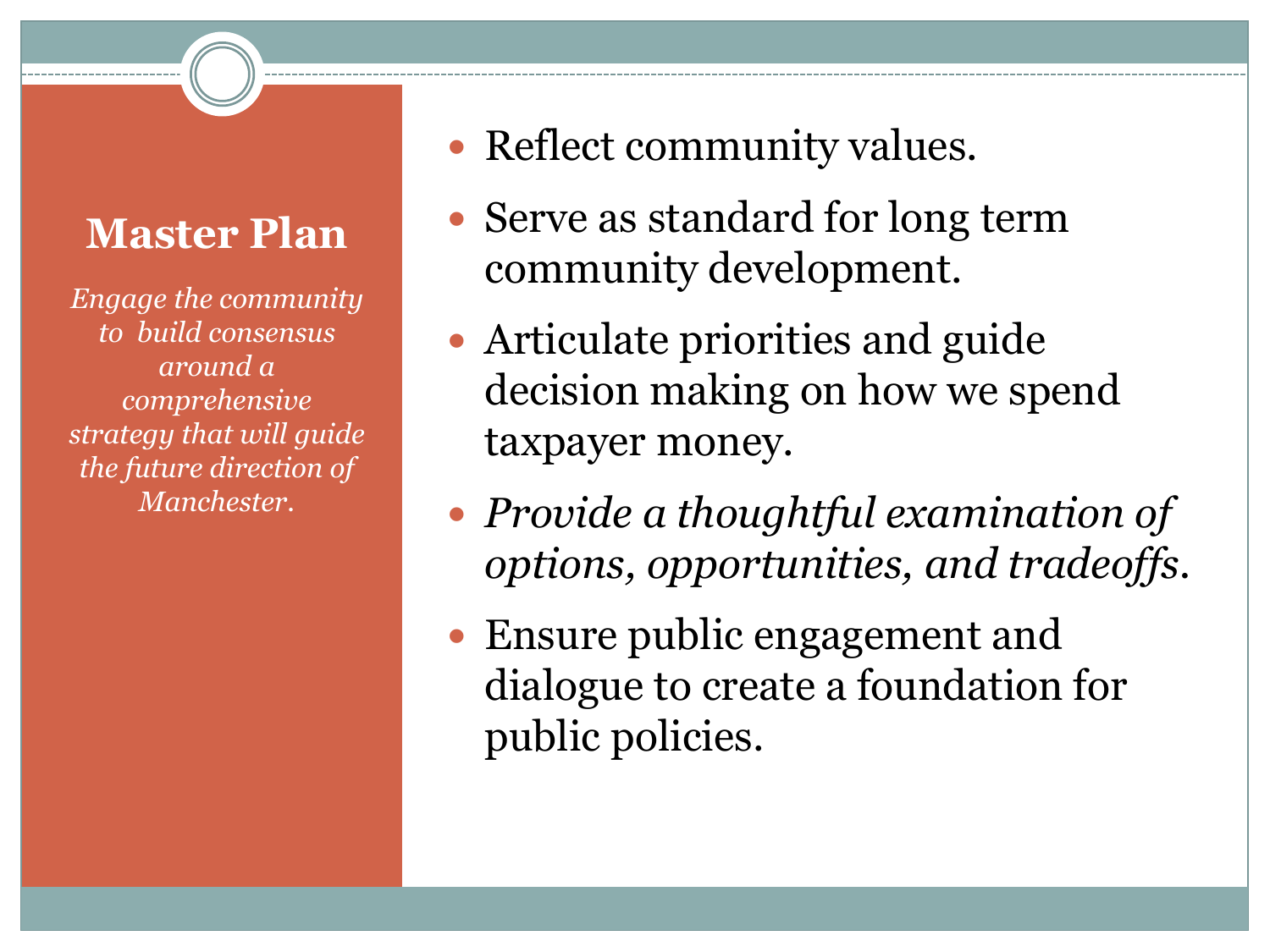#### **Master Plan**

*Engage the community to build consensus around a comprehensive strategy that will guide the future direction of Manchester.*

- Reflect community values.
- Serve as standard for long term community development.
- Articulate priorities and guide decision making on how we spend taxpayer money.
- *Provide a thoughtful examination of options, opportunities, and tradeoffs.*
- Ensure public engagement and dialogue to create a foundation for public policies.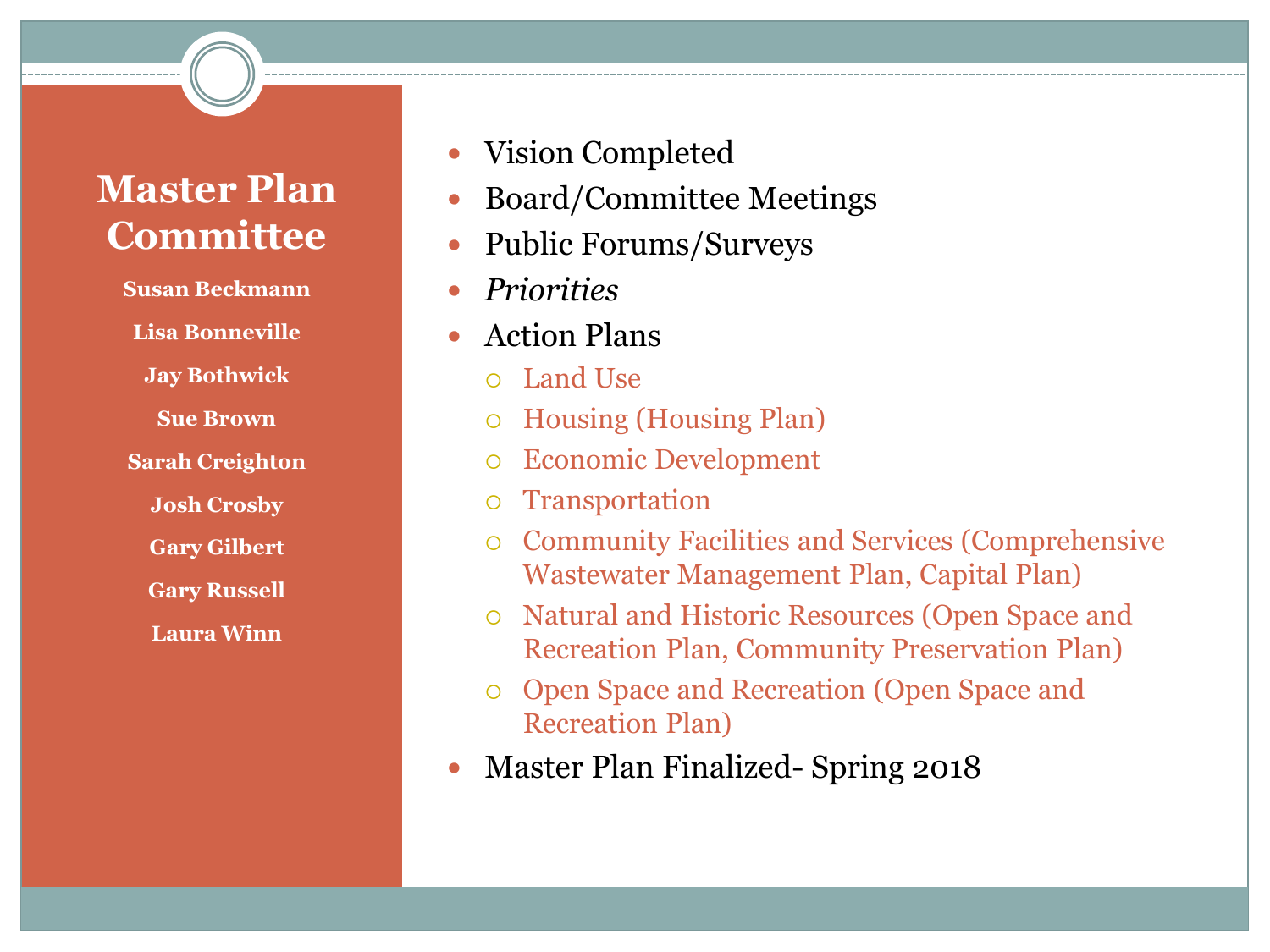#### **Master Plan Committee**

**Susan Beckmann Lisa Bonneville Jay Bothwick Sue Brown Sarah Creighton Josh Crosby Gary Gilbert Gary Russell Laura Winn** 

- Vision Completed
- Board/Committee Meetings
- Public Forums/Surveys
- *Priorities*
- Action Plans
	- Land Use
	- Housing (Housing Plan)
	- Economic Development
	- Transportation
	- Community Facilities and Services (Comprehensive Wastewater Management Plan, Capital Plan)
	- Natural and Historic Resources (Open Space and Recreation Plan, Community Preservation Plan)
	- Open Space and Recreation (Open Space and Recreation Plan)
- Master Plan Finalized- Spring 2018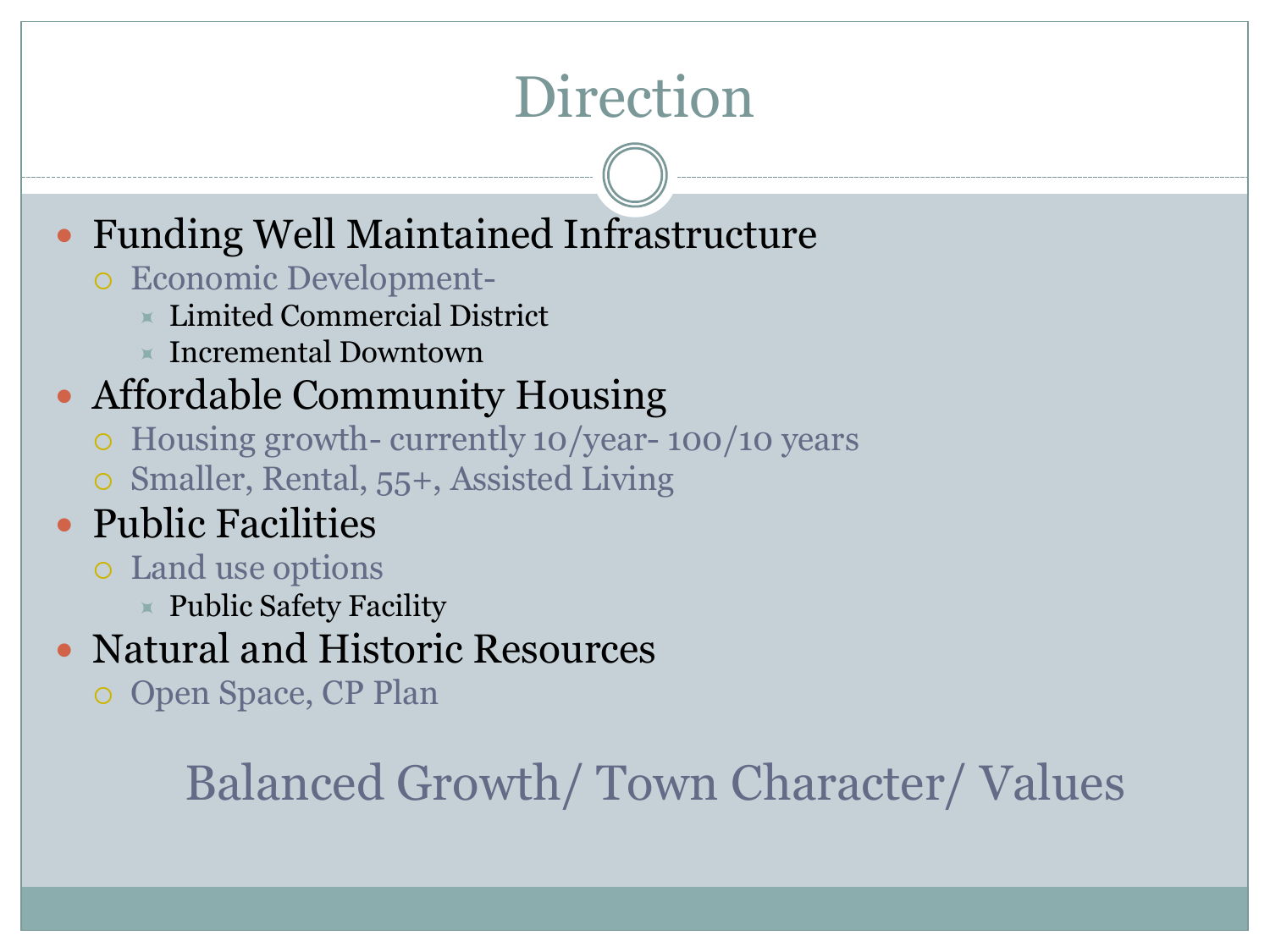## Direction

### Funding Well Maintained Infrastructure

- Economic Development-
	- $\times$  Limited Commercial District
	- $\times$  Incremental Downtown

### Affordable Community Housing

- Housing growth- currently 10/year- 100/10 years
- Smaller, Rental, 55+, Assisted Living
- Public Facilities
	- Land use options
		- $\times$  Public Safety Facility
- Natural and Historic Resources
	- Open Space, CP Plan

### Balanced Growth/ Town Character/ Values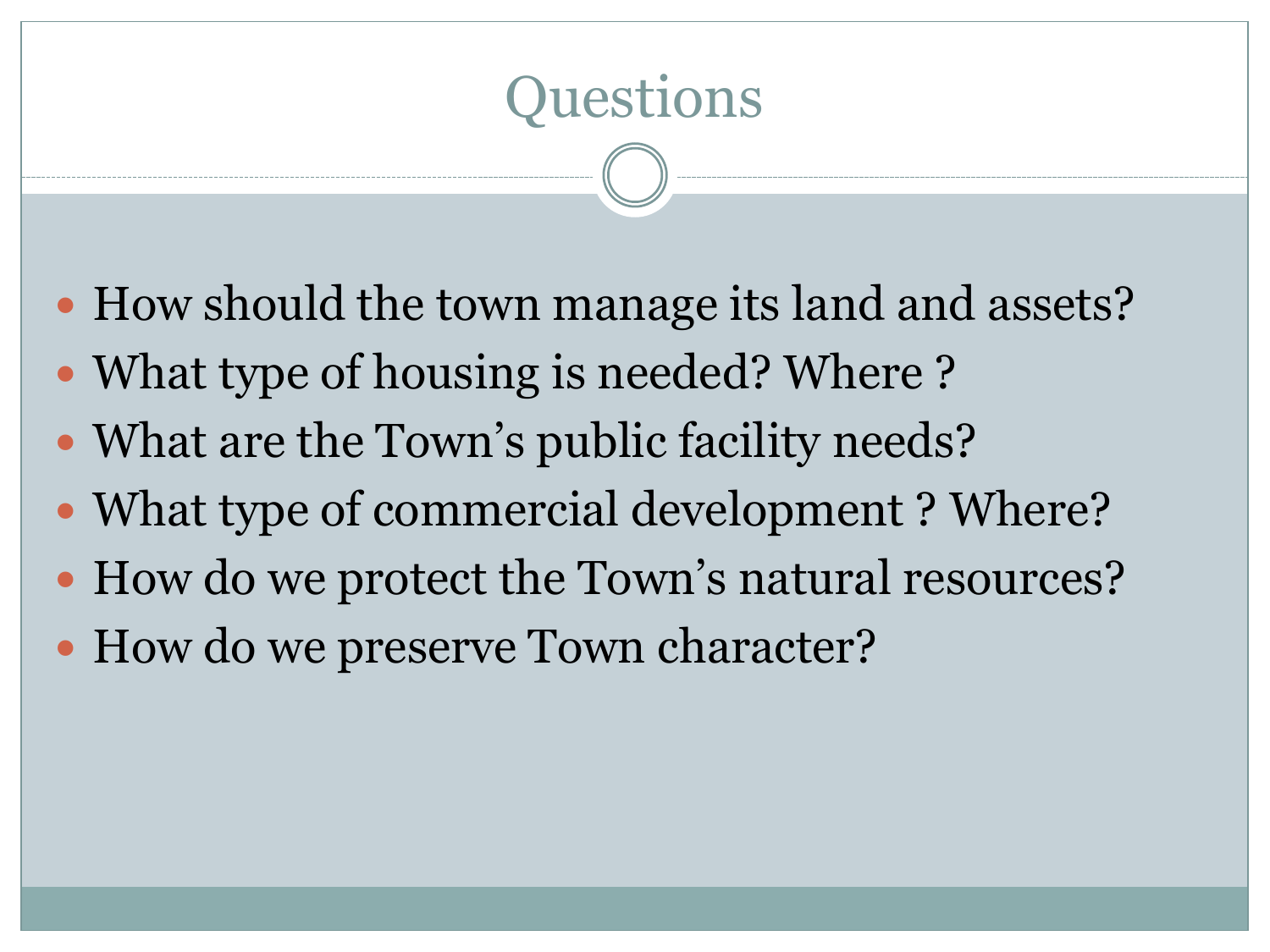# Questions

- How should the town manage its land and assets?
- What type of housing is needed? Where ?
- What are the Town's public facility needs?
- What type of commercial development ? Where?
- How do we protect the Town's natural resources?
- How do we preserve Town character?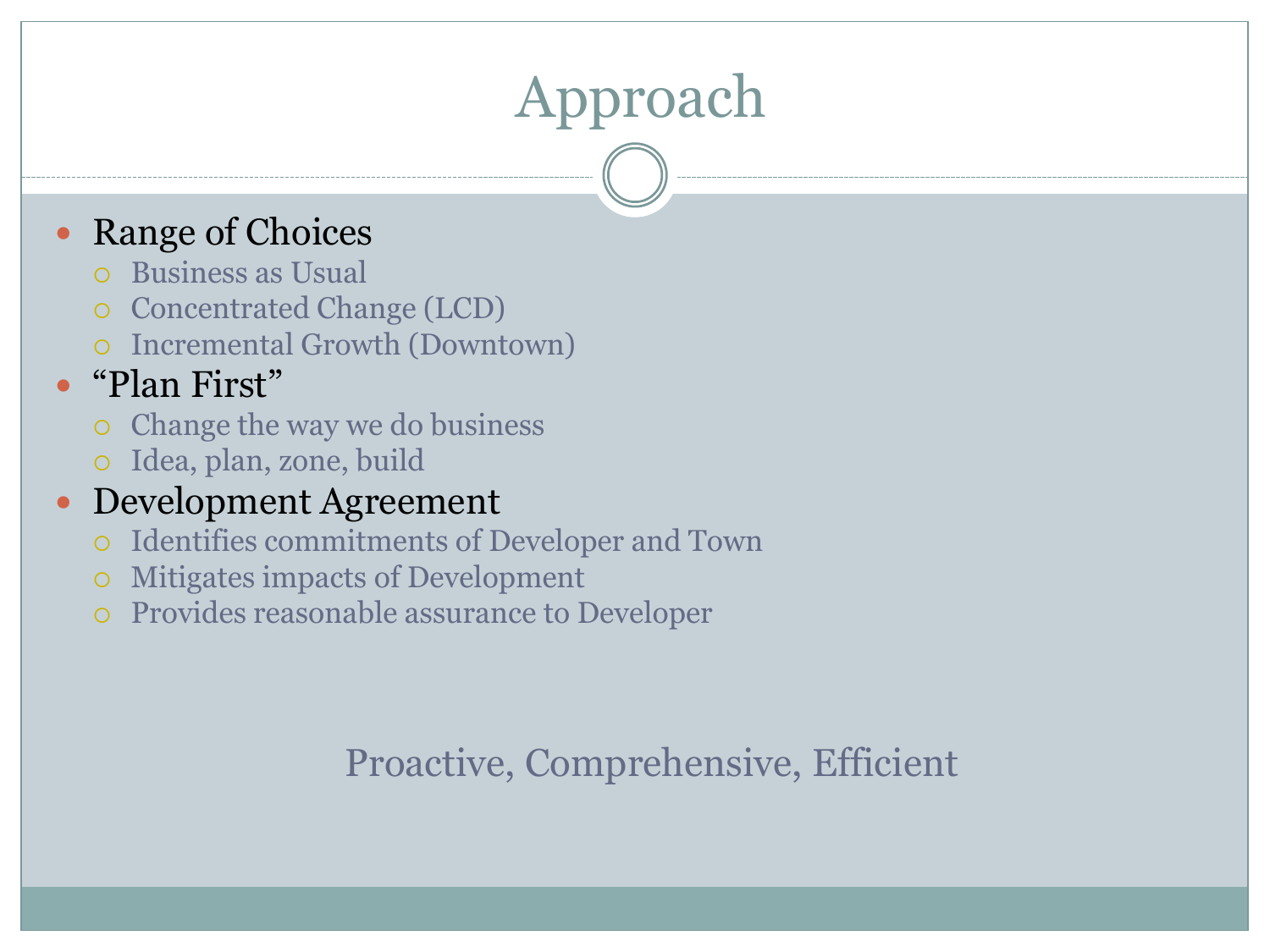# Approach

#### Range of Choices

- Business as Usual
- o Concentrated Change (LCD)
- Incremental Growth (Downtown)

### • "Plan First"

- Change the way we do business
- Idea, plan, zone, build

#### Development Agreement

- Identifies commitments of Developer and Town
- Mitigates impacts of Development
- Provides reasonable assurance to Developer

### Proactive, Comprehensive, Efficient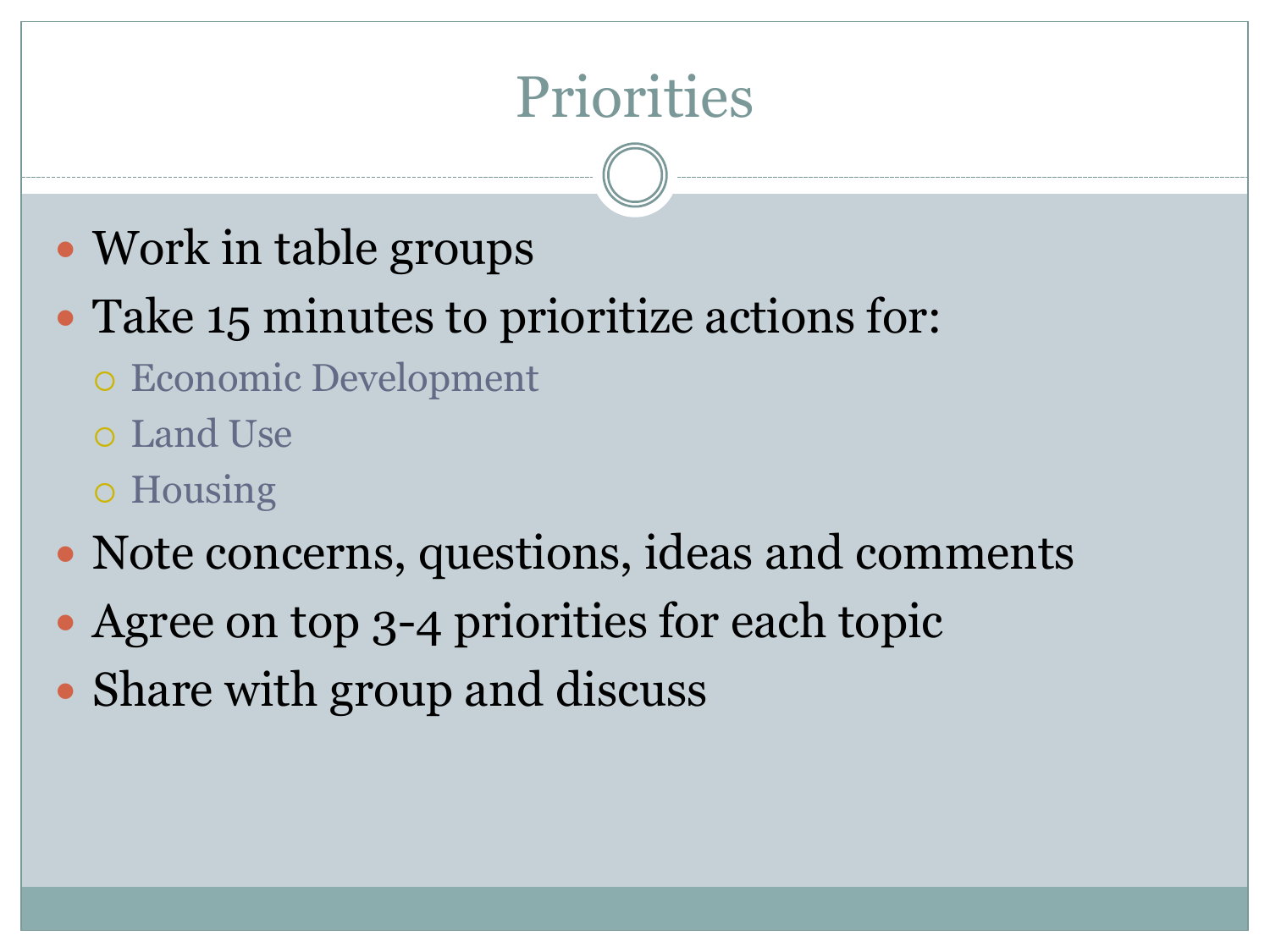### **Priorities**

- Work in table groups
- Take 15 minutes to prioritize actions for:
	- Economic Development
	- Land Use
	- Housing
- Note concerns, questions, ideas and comments
- Agree on top 3-4 priorities for each topic
- Share with group and discuss